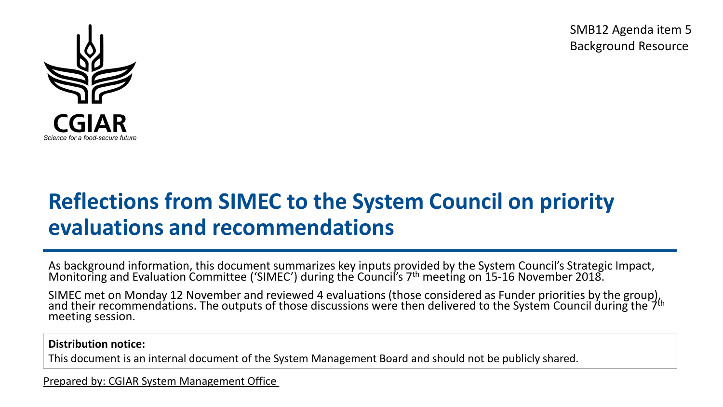SMB12 Agenda item 5 Background Resource



# **Reflections from SIMEC to the System Council on priority evaluations and recommendations**

As background information, this document summarizes key inputs provided by the System Council's Strategic Impact, Monitoring and Evaluation Committee ('SIMEC') during the Council's 7<sup>th</sup> meeting on 15-16 November 2018.

SIMEC met on Monday 12 November and reviewed 4 evaluations (those considered as Funder priorities by the group),<br>and their recommendations. The outputs of those discussions were then delivered to the System Council during meeting session.

#### **Distribution notice:**

This document is an internal document of the System Management Board and should not be publicly shared.

Prepared by: CGIAR System Management Office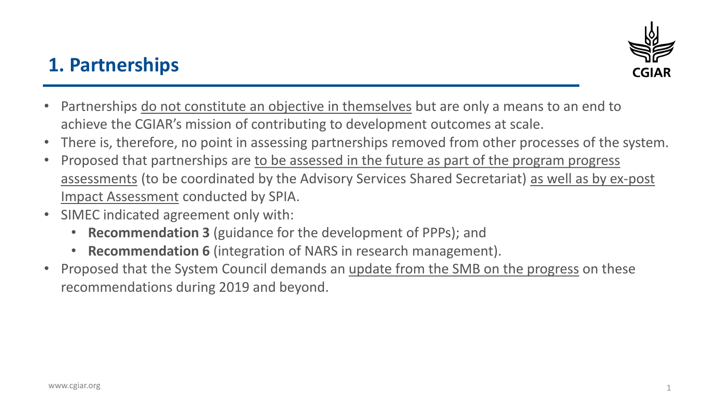

## **1. Partnerships**

- Partnerships do not constitute an objective in themselves but are only a means to an end to achieve the CGIAR's mission of contributing to development outcomes at scale.
- There is, therefore, no point in assessing partnerships removed from other processes of the system.
- Proposed that partnerships are to be assessed in the future as part of the program progress assessments (to be coordinated by the Advisory Services Shared Secretariat) as well as by ex-post Impact Assessment conducted by SPIA.
- SIMEC indicated agreement only with:
	- **Recommendation 3** (guidance for the development of PPPs); and
	- **Recommendation 6** (integration of NARS in research management).
- Proposed that the System Council demands an update from the SMB on the progress on these recommendations during 2019 and beyond.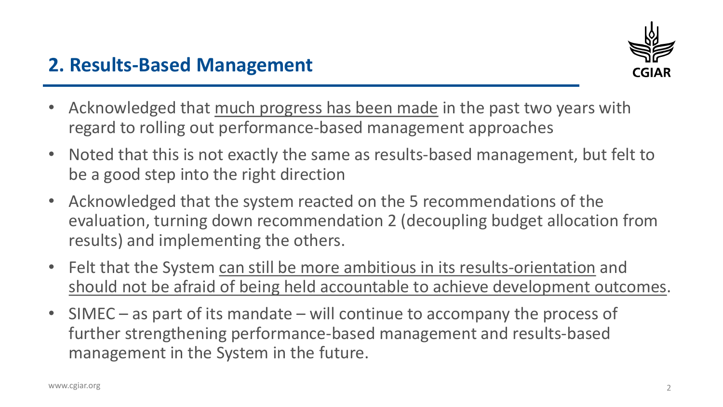

### **2. Results-Based Management**

- Acknowledged that much progress has been made in the past two years with regard to rolling out performance-based management approaches
- Noted that this is not exactly the same as results-based management, but felt to be a good step into the right direction
- Acknowledged that the system reacted on the 5 recommendations of the evaluation, turning down recommendation 2 (decoupling budget allocation from results) and implementing the others.
- Felt that the System can still be more ambitious in its results-orientation and should not be afraid of being held accountable to achieve development outcomes.
- SIMEC as part of its mandate will continue to accompany the process of further strengthening performance-based management and results-based management in the System in the future.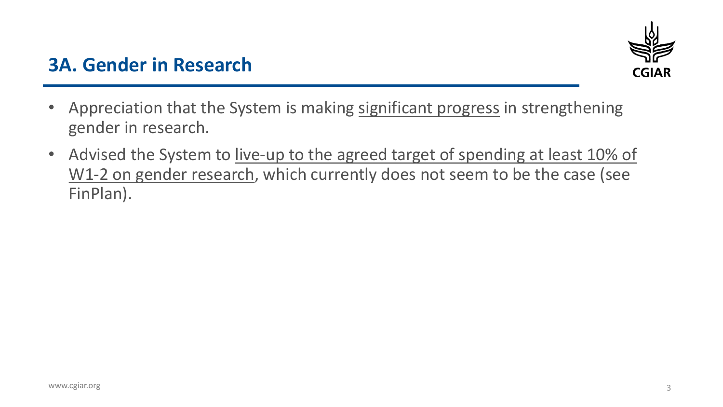

#### **3A. Gender in Research**

- Appreciation that the System is making significant progress in strengthening gender in research.
- Advised the System to live-up to the agreed target of spending at least 10% of W1-2 on gender research, which currently does not seem to be the case (see FinPlan).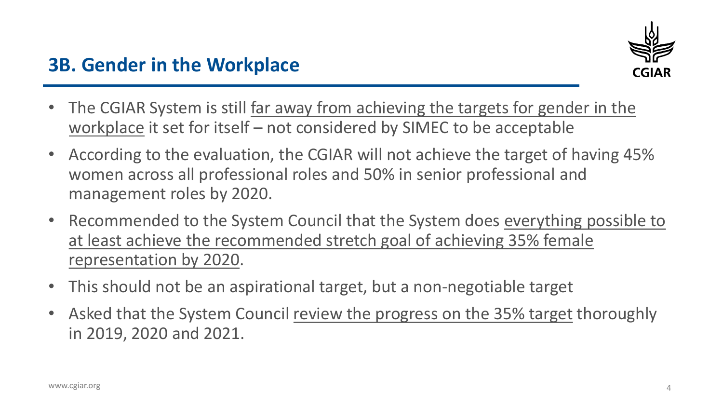- The CGIAR System is still far away from achieving the targets for gender in the workplace it set for itself – not considered by SIMEC to be acceptable
- According to the evaluation, the CGIAR will not achieve the target of having 45% women across all professional roles and 50% in senior professional and management roles by 2020.
- Recommended to the System Council that the System does everything possible to at least achieve the recommended stretch goal of achieving 35% female representation by 2020.
- This should not be an aspirational target, but a non-negotiable target
- Asked that the System Council review the progress on the 35% target thoroughly in 2019, 2020 and 2021.